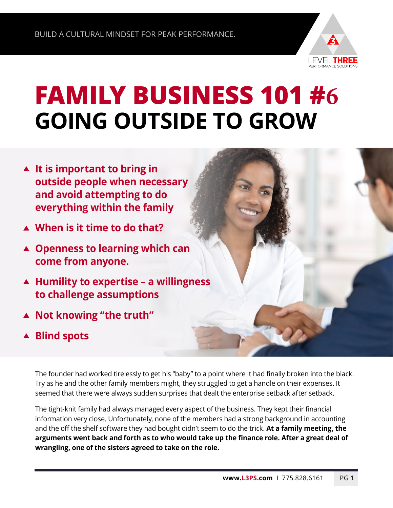

## **FAMILY BUSINESS 101 #6 GOING OUTSIDE TO GROW**

- **It is important to bring in outside people when necessary and avoid attempting to do everything within the family**
- **When is it time to do that?**
- **Openness to learning which can come from anyone.**
- **Humility to expertise a willingness to challenge assumptions**
- **Not knowing "the truth"**
- **Blind spots**

The founder had worked tirelessly to get his "baby" to a point where it had finally broken into the black. Try as he and the other family members might, they struggled to get a handle on their expenses. It seemed that there were always sudden surprises that dealt the enterprise setback after setback.

The tight-knit family had always managed every aspect of the business. They kept their financial information very close. Unfortunately, none of the members had a strong background in accounting and the off the shelf software they had bought didn't seem to do the trick. **At a family meeting, the arguments went back and forth as to who would take up the finance role. After a great deal of wrangling, one of the sisters agreed to take on the role.**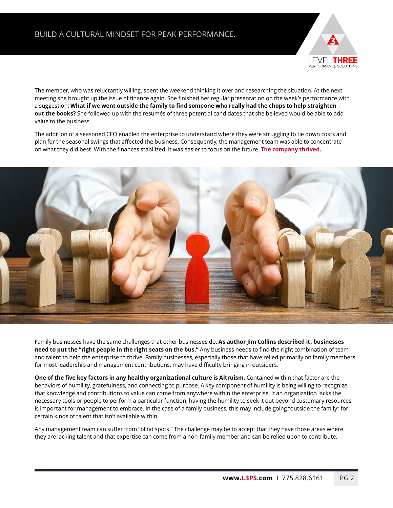

The member, who was reluctantly willing, spent the weekend thinking it over and researching the situation. At the next meeting she brought up the issue of finance again. She finished her regular presentation on the week's performance with a suggestion: **What if we went outside the family to find someone who really had the chops to help straighten out the books?** She followed up with the resumés of three potential candidates that she believed would be able to add value to the business.

The addition of a seasoned CFO enabled the enterprise to understand where they were struggling to tie down costs and plan for the seasonal swings that affected the business. Consequently, the management team was able to concentrate on what they did best. With the finances stabilized, it was easier to focus on the future. **The company thrived.**



Family businesses have the same challenges that other businesses do. **As author Jim Collins described it, businesses need to put the "right people in the right seats on the bus."** Any business needs to find the right combination of team and talent to help the enterprise to thrive. Family businesses, especially those that have relied primarily on family members for most leadership and management contributions, may have difficulty bringing in outsiders.

**One of the five key factors in any healthy organizational culture is Altruism.** Contained within that factor are the behaviors of humility, gratefulness, and connecting to purpose. A key component of humility is being willing to recognize that knowledge and contributions to value can come from anywhere within the enterprise. If an organization lacks the necessary tools or people to perform a particular function, having the humility to seek it out beyond customary resources is important for management to embrace. In the case of a family business, this may include going "outside the family" for certain kinds of talent that isn't available within.

Any management team can suffer from "blind spots." The challenge may be to accept that they have those areas where they are lacking talent and that expertise can come from a non-family member and can be relied upon to contribute.